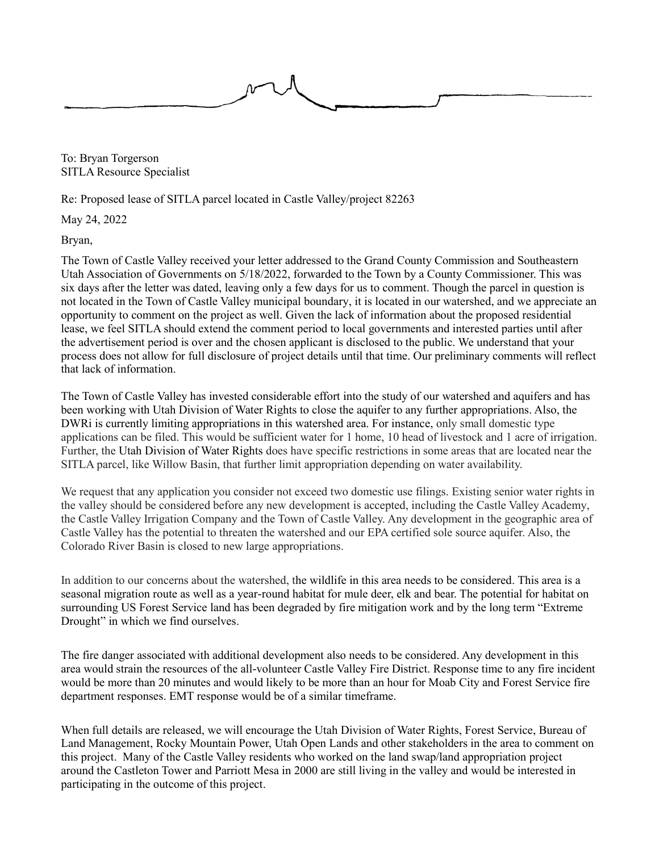

To: Bryan Torgerson SITLA Resource Specialist

Re: Proposed lease of SITLA parcel located in Castle Valley/project 82263

May 24, 2022

Bryan,

The Town of Castle Valley received your letter addressed to the Grand County Commission and Southeastern Utah Association of Governments on 5/18/2022, forwarded to the Town by a County Commissioner. This was six days after the letter was dated, leaving only a few days for us to comment. Though the parcel in question is not located in the Town of Castle Valley municipal boundary, it is located in our watershed, and we appreciate an opportunity to comment on the project as well. Given the lack of information about the proposed residential lease, we feel SITLA should extend the comment period to local governments and interested parties until after the advertisement period is over and the chosen applicant is disclosed to the public. We understand that your process does not allow for full disclosure of project details until that time. Our preliminary comments will reflect that lack of information.

The Town of Castle Valley has invested considerable effort into the study of our watershed and aquifers and has been working with Utah Division of Water Rights to close the aquifer to any further appropriations. Also, the DWRi is currently limiting appropriations in this watershed area. For instance, only small domestic type applications can be filed. This would be sufficient water for 1 home, 10 head of livestock and 1 acre of irrigation. Further, the Utah Division of Water Rights does have specific restrictions in some areas that are located near the SITLA parcel, like Willow Basin, that further limit appropriation depending on water availability.

We request that any application you consider not exceed two domestic use filings. Existing senior water rights in the valley should be considered before any new development is accepted, including the Castle Valley Academy, the Castle Valley Irrigation Company and the Town of Castle Valley. Any development in the geographic area of Castle Valley has the potential to threaten the watershed and our EPA certified sole source aquifer. Also, the Colorado River Basin is closed to new large appropriations.

In addition to our concerns about the watershed, the wildlife in this area needs to be considered. This area is a seasonal migration route as well as a year-round habitat for mule deer, elk and bear. The potential for habitat on surrounding US Forest Service land has been degraded by fire mitigation work and by the long term "Extreme Drought" in which we find ourselves.

The fire danger associated with additional development also needs to be considered. Any development in this area would strain the resources of the all-volunteer Castle Valley Fire District. Response time to any fire incident would be more than 20 minutes and would likely to be more than an hour for Moab City and Forest Service fire department responses. EMT response would be of a similar timeframe.

When full details are released, we will encourage the Utah Division of Water Rights, Forest Service, Bureau of Land Management, Rocky Mountain Power, Utah Open Lands and other stakeholders in the area to comment on this project. Many of the Castle Valley residents who worked on the land swap/land appropriation project around the Castleton Tower and Parriott Mesa in 2000 are still living in the valley and would be interested in participating in the outcome of this project.